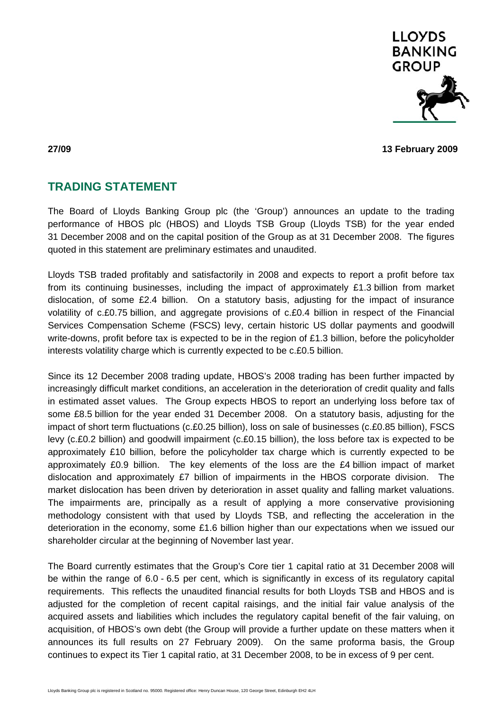

**27/09 13 February 2009** 

## **TRADING STATEMENT**

The Board of Lloyds Banking Group plc (the 'Group') announces an update to the trading performance of HBOS plc (HBOS) and Lloyds TSB Group (Lloyds TSB) for the year ended 31 December 2008 and on the capital position of the Group as at 31 December 2008. The figures quoted in this statement are preliminary estimates and unaudited.

Lloyds TSB traded profitably and satisfactorily in 2008 and expects to report a profit before tax from its continuing businesses, including the impact of approximately £1.3 billion from market dislocation, of some £2.4 billion. On a statutory basis, adjusting for the impact of insurance volatility of c.£0.75 billion, and aggregate provisions of c.£0.4 billion in respect of the Financial Services Compensation Scheme (FSCS) levy, certain historic US dollar payments and goodwill write-downs, profit before tax is expected to be in the region of £1.3 billion, before the policyholder interests volatility charge which is currently expected to be c.£0.5 billion.

Since its 12 December 2008 trading update, HBOS's 2008 trading has been further impacted by increasingly difficult market conditions, an acceleration in the deterioration of credit quality and falls in estimated asset values. The Group expects HBOS to report an underlying loss before tax of some £8.5 billion for the year ended 31 December 2008. On a statutory basis, adjusting for the impact of short term fluctuations (c.£0.25 billion), loss on sale of businesses (c.£0.85 billion), FSCS levy (c.£0.2 billion) and goodwill impairment (c.£0.15 billion), the loss before tax is expected to be approximately £10 billion, before the policyholder tax charge which is currently expected to be approximately £0.9 billion. The key elements of the loss are the £4 billion impact of market dislocation and approximately £7 billion of impairments in the HBOS corporate division. The market dislocation has been driven by deterioration in asset quality and falling market valuations. The impairments are, principally as a result of applying a more conservative provisioning methodology consistent with that used by Lloyds TSB, and reflecting the acceleration in the deterioration in the economy, some £1.6 billion higher than our expectations when we issued our shareholder circular at the beginning of November last year.

The Board currently estimates that the Group's Core tier 1 capital ratio at 31 December 2008 will be within the range of 6.0 - 6.5 per cent, which is significantly in excess of its regulatory capital requirements. This reflects the unaudited financial results for both Lloyds TSB and HBOS and is adjusted for the completion of recent capital raisings, and the initial fair value analysis of the acquired assets and liabilities which includes the regulatory capital benefit of the fair valuing, on acquisition, of HBOS's own debt (the Group will provide a further update on these matters when it announces its full results on 27 February 2009). On the same proforma basis, the Group continues to expect its Tier 1 capital ratio, at 31 December 2008, to be in excess of 9 per cent.